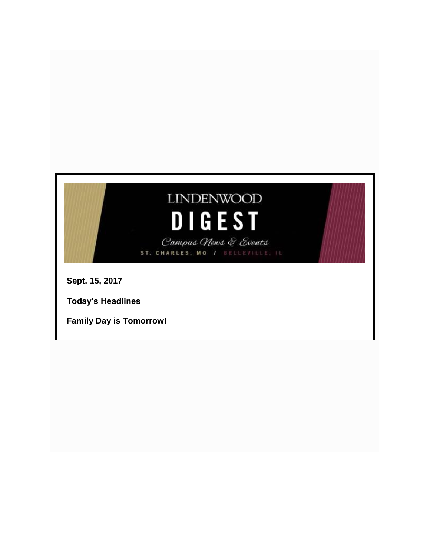# **LINDENWOOD DIGEST**

Campus News & Events ST. CHARLES, MO / BELLEVILLE, IL

**Sept. 15, 2017**

**Today's Headlines**

**Family Day is Tomorrow!**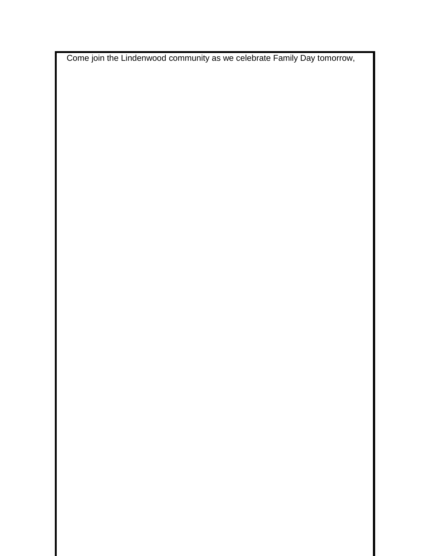Come join the Lindenwood community as we celebrate Family Day tomorrow,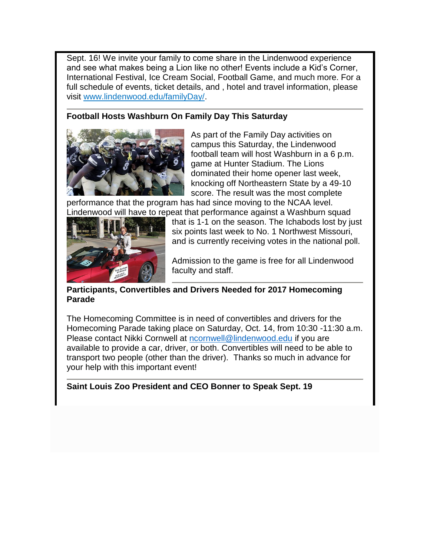Sept. 16! We invite your family to come share in the Lindenwood experience and see what makes being a Lion like no other! Events include a Kid's Corner, International Festival, Ice Cream Social, Football Game, and much more. For a full schedule of events, ticket details, and , hotel and travel information, please visit [www.lindenwood.edu/familyDay/.](http://www.lindenwood.edu/familyDay/)

#### **Football Hosts Washburn On Family Day This Saturday**



As part of the Family Day activities on campus this Saturday, the Lindenwood football team will host Washburn in a 6 p.m. game at Hunter Stadium. The Lions dominated their home opener last week, knocking off Northeastern State by a 49-10 score. The result was the most complete

performance that the program has had since moving to the NCAA level. Lindenwood will have to repeat that performance against a Washburn squad



that is 1-1 on the season. The Ichabods lost by just six points last week to No. 1 Northwest Missouri, and is currently receiving votes in the national poll.

Admission to the game is free for all Lindenwood faculty and staff.

#### **Participants, Convertibles and Drivers Needed for 2017 Homecoming Parade**

The Homecoming Committee is in need of convertibles and drivers for the Homecoming Parade taking place on Saturday, Oct. 14, from 10:30 -11:30 a.m. Please contact Nikki Cornwell at [ncornwell@lindenwood.edu](mailto:ncornwell@lindenwood.edu) if you are available to provide a car, driver, or both. Convertibles will need to be able to transport two people (other than the driver). Thanks so much in advance for your help with this important event!

## **Saint Louis Zoo President and CEO Bonner to Speak Sept. 19**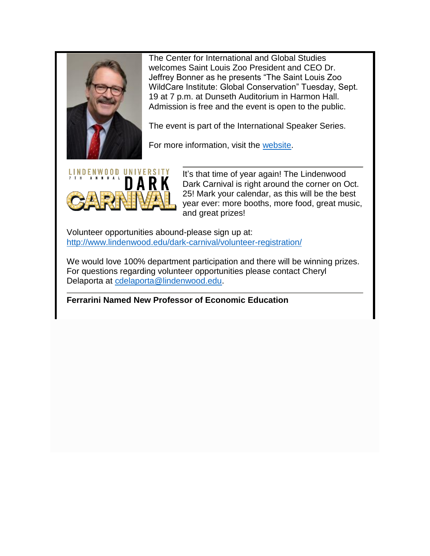

The Center for International and Global Studies welcomes Saint Louis Zoo President and CEO Dr. Jeffrey Bonner as he presents "The Saint Louis Zoo WildCare Institute: Global Conservation" Tuesday, Sept. 19 at 7 p.m. at Dunseth Auditorium in Harmon Hall. Admission is free and the event is open to the public.

The event is part of the International Speaker Series.

For more information, visit the [website.](http://www.lindenwood.edu/academics/centers-institutes/center-for-international-and-global-studies/speaker-series/)



It's that time of year again! The Lindenwood Dark Carnival is right around the corner on Oct. 25! Mark your calendar, as this will be the best year ever: more booths, more food, great music, and great prizes!

Volunteer opportunities abound-please sign up at: <http://www.lindenwood.edu/dark-carnival/volunteer-registration/>

We would love 100% department participation and there will be winning prizes. For questions regarding volunteer opportunities please contact Cheryl Delaporta at [cdelaporta@lindenwood.edu.](mailto:cdelaporta@lindenwood.edu)

**Ferrarini Named New Professor of Economic Education**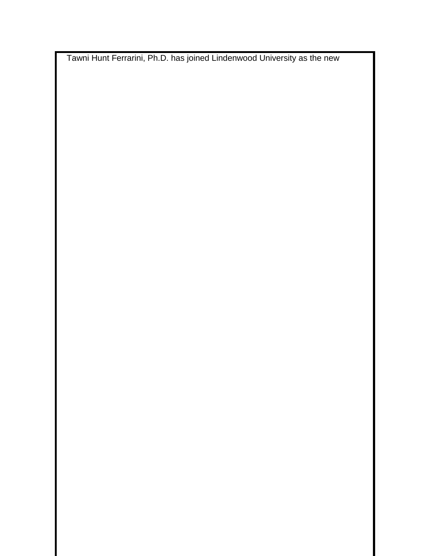Tawni Hunt Ferrarini, Ph.D. has joined Lindenwood University as the new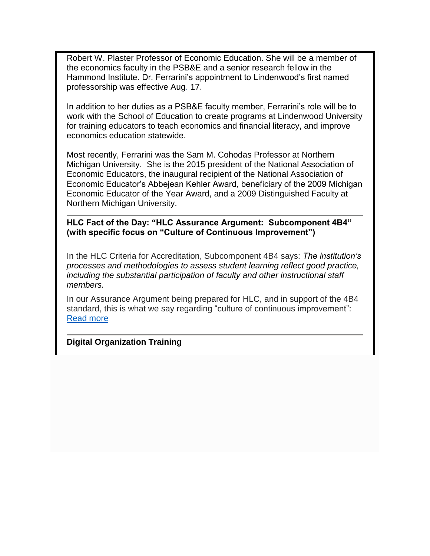Robert W. Plaster Professor of Economic Education. She will be a member of the economics faculty in the PSB&E and a senior research fellow in the Hammond Institute. Dr. Ferrarini's appointment to Lindenwood's first named professorship was effective Aug. 17.

In addition to her duties as a PSB&E faculty member, Ferrarini's role will be to work with the School of Education to create programs at Lindenwood University for training educators to teach economics and financial literacy, and improve economics education statewide.

Most recently, Ferrarini was the Sam M. Cohodas Professor at Northern Michigan University. She is the 2015 president of the National Association of Economic Educators, the inaugural recipient of the National Association of Economic Educator's Abbejean Kehler Award, beneficiary of the 2009 Michigan Economic Educator of the Year Award, and a 2009 Distinguished Faculty at Northern Michigan University.

**HLC Fact of the Day: "HLC Assurance Argument: Subcomponent 4B4" (with specific focus on "Culture of Continuous Improvement")**

In the HLC Criteria for Accreditation, Subcomponent 4B4 says: *The institution's processes and methodologies to assess student learning reflect good practice, including the substantial participation of faculty and other instructional staff members.*

In our Assurance Argument being prepared for HLC, and in support of the 4B4 standard, this is what we say regarding "culture of continuous improvement": [Read](http://felix.lindenwood.edu/newsletter/2017_09/fact_sept15.pdf) more

## **Digital Organization Training**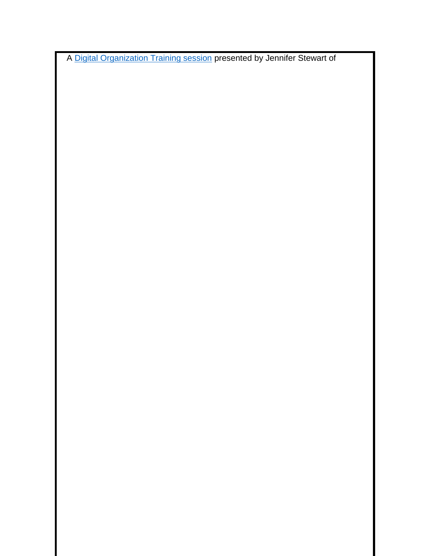A [Digital Organization Training session](http://felix.lindenwood.edu/newsletter/2017_09/digitalorgflyer.pdf) presented by Jennifer Stewart of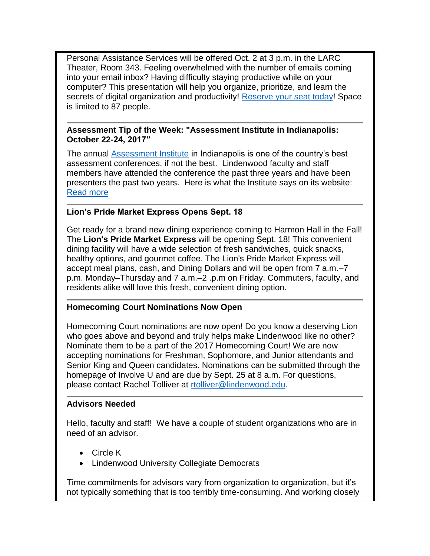Personal Assistance Services will be offered Oct. 2 at 3 p.m. in the LARC Theater, Room 343. Feeling overwhelmed with the number of emails coming into your email inbox? Having difficulty staying productive while on your computer? This presentation will help you organize, prioritize, and learn the secrets of digital organization and productivity! [Reserve your seat today!](https://www.eventbrite.com/e/digital-organization-tickets-37702578427) Space is limited to 87 people.

#### **Assessment Tip of the Week: "Assessment Institute in Indianapolis: October 22-24, 2017"**

The annual [Assessment Institute](http://assessmentinstitute.iupui.edu/) in Indianapolis is one of the country's best assessment conferences, if not the best. Lindenwood faculty and staff members have attended the conference the past three years and have been presenters the past two years. Here is what the Institute says on its website: [Read more](http://felix.lindenwood.edu/newsletter/2017_09/tip_sept15.pdf)

## **Lion's Pride Market Express Opens Sept. 18**

Get ready for a brand new dining experience coming to Harmon Hall in the Fall! The **Lion's Pride Market Express** will be opening Sept. 18! This convenient dining facility will have a wide selection of fresh sandwiches, quick snacks, healthy options, and gourmet coffee. The Lion's Pride Market Express will accept meal plans, cash, and Dining Dollars and will be open from 7 a.m.–7 p.m. Monday–Thursday and 7 a.m.–2 .p.m on Friday. Commuters, faculty, and residents alike will love this fresh, convenient dining option.

## **Homecoming Court Nominations Now Open**

Homecoming Court nominations are now open! Do you know a deserving Lion who goes above and beyond and truly helps make Lindenwood like no other? Nominate them to be a part of the 2017 Homecoming Court! We are now accepting nominations for Freshman, Sophomore, and Junior attendants and Senior King and Queen candidates. Nominations can be submitted through the homepage of Involve U and are due by Sept. 25 at 8 a.m. For questions, please contact Rachel Tolliver at [rtolliver@lindenwood.edu.](mailto:rtolliver@lindenwood.edu)

## **Advisors Needed**

Hello, faculty and staff! We have a couple of student organizations who are in need of an advisor.

- Circle K
- Lindenwood University Collegiate Democrats

Time commitments for advisors vary from organization to organization, but it's not typically something that is too terribly time-consuming. And working closely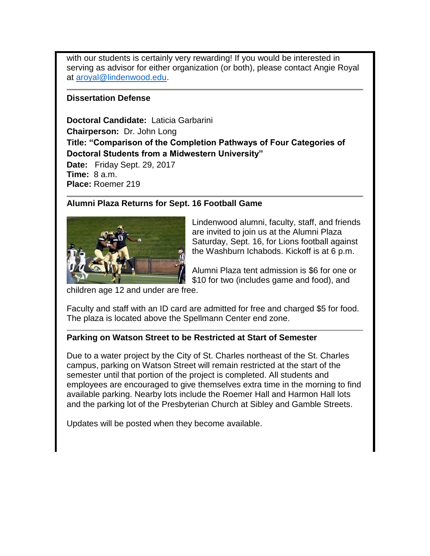with our students is certainly very rewarding! If you would be interested in serving as advisor for either organization (or both), please contact Angie Royal at [aroyal@lindenwood.edu.](mailto:aroyal@lindenwood.edu)

#### **Dissertation Defense**

**Doctoral Candidate:** Laticia Garbarini **Chairperson:** Dr. John Long **Title: "Comparison of the Completion Pathways of Four Categories of Doctoral Students from a Midwestern University"**

**Date:** Friday Sept. 29, 2017 **Time:** 8 a.m. **Place:** Roemer 219

## **Alumni Plaza Returns for Sept. 16 Football Game**



Lindenwood alumni, faculty, staff, and friends are invited to join us at the Alumni Plaza Saturday, Sept. 16, for Lions football against the Washburn Ichabods. Kickoff is at 6 p.m.

Alumni Plaza tent admission is \$6 for one or \$10 for two (includes game and food), and

children age 12 and under are free.

Faculty and staff with an ID card are admitted for free and charged \$5 for food. The plaza is located above the Spellmann Center end zone.

## **Parking on Watson Street to be Restricted at Start of Semester**

Due to a water project by the City of St. Charles northeast of the St. Charles campus, parking on Watson Street will remain restricted at the start of the semester until that portion of the project is completed. All students and employees are encouraged to give themselves extra time in the morning to find available parking. Nearby lots include the Roemer Hall and Harmon Hall lots and the parking lot of the Presbyterian Church at Sibley and Gamble Streets.

Updates will be posted when they become available.